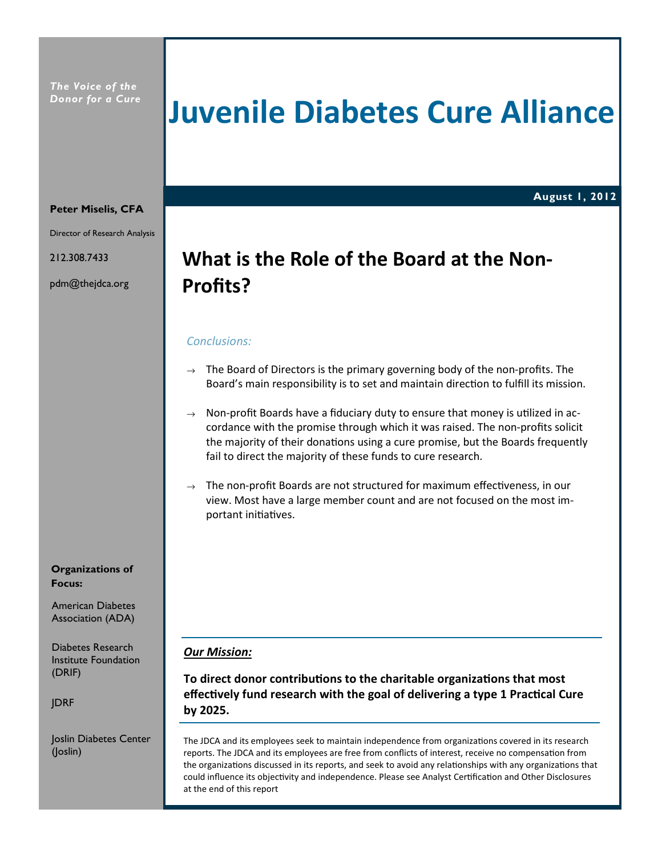# Juvenile Diabetes Cure Alliance

August 1, 2012

#### Peter Miselis, CFA

Director of Research Analysis

212.308.7433

pdm@thejdca.org

## What is the Role of the Board at the Non-Profits?

#### Conclusions:

- $\rightarrow$  The Board of Directors is the primary governing body of the non-profits. The Board's main responsibility is to set and maintain direction to fulfill its mission.
- $\rightarrow$  Non-profit Boards have a fiduciary duty to ensure that money is utilized in accordance with the promise through which it was raised. The non-profits solicit the majority of their donations using a cure promise, but the Boards frequently fail to direct the majority of these funds to cure research.
- $\rightarrow$  The non-profit Boards are not structured for maximum effectiveness, in our view. Most have a large member count and are not focused on the most important initiatives.

#### Our Mission:

To direct donor contributions to the charitable organizations that most effectively fund research with the goal of delivering a type 1 Practical Cure by 2025.

The JDCA and its employees seek to maintain independence from organizations covered in its research reports. The JDCA and its employees are free from conflicts of interest, receive no compensation from the organizations discussed in its reports, and seek to avoid any relationships with any organizations that could influence its objectivity and independence. Please see Analyst Certification and Other Disclosures at the end of this report

Organizations of Focus:

American Diabetes Association (ADA)

Diabetes Research Institute Foundation (DRIF)

JDRF

Joslin Diabetes Center (Joslin)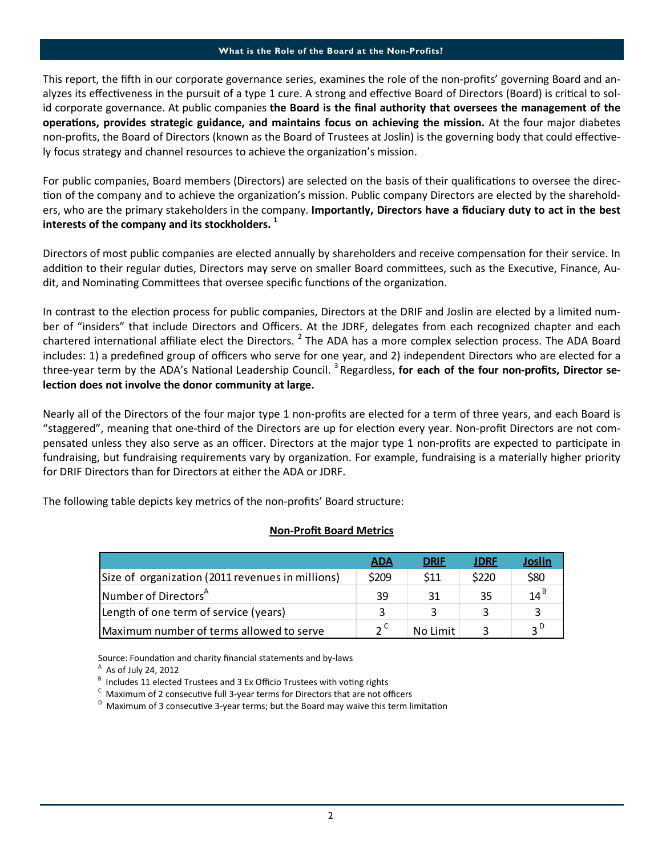#### What is the Role of the Board at the Non-Profits?

This report, the fifth in our corporate governance series, examines the role of the non-profits' governing Board and analyzes its effectiveness in the pursuit of a type 1 cure. A strong and effective Board of Directors (Board) is critical to solid corporate governance. At public companies the Board is the final authority that oversees the management of the operations, provides strategic guidance, and maintains focus on achieving the mission. At the four major diabetes non-profits, the Board of Directors (known as the Board of Trustees at Joslin) is the governing body that could effectively focus strategy and channel resources to achieve the organization's mission.

For public companies, Board members (Directors) are selected on the basis of their qualifications to oversee the direction of the company and to achieve the organization's mission. Public company Directors are elected by the shareholders, who are the primary stakeholders in the company. Importantly, Directors have a fiduciary duty to act in the best interests of the company and its stockholders. $<sup>1</sup>$ </sup>

Directors of most public companies are elected annually by shareholders and receive compensation for their service. In addition to their regular duties, Directors may serve on smaller Board committees, such as the Executive, Finance, Audit, and Nominating Committees that oversee specific functions of the organization.

In contrast to the election process for public companies, Directors at the DRIF and Joslin are elected by a limited number of "insiders" that include Directors and Officers. At the JDRF, delegates from each recognized chapter and each chartered international affiliate elect the Directors. <sup>2</sup> The ADA has a more complex selection process. The ADA Board includes: 1) a predefined group of officers who serve for one year, and 2) independent Directors who are elected for a three-year term by the ADA's National Leadership Council.  $3$  Regardless, for each of the four non-profits, Director selection does not involve the donor community at large.

Nearly all of the Directors of the four major type 1 non-profits are elected for a term of three years, and each Board is "staggered", meaning that one-third of the Directors are up for election every year. Non-profit Directors are not compensated unless they also serve as an officer. Directors at the major type 1 non-profits are expected to parcipate in fundraising, but fundraising requirements vary by organization. For example, fundraising is a materially higher priority for DRIF Directors than for Directors at either the ADA or JDRF.

The following table depicts key metrics of the non-profits' Board structure:

#### Non-Profit Board Metrics

|                                                  | <b>ADA</b>    | <b>DRIF</b> | <b>JDRF</b> | Joslin          |
|--------------------------------------------------|---------------|-------------|-------------|-----------------|
| Size of organization (2011 revenues in millions) | \$209         | \$11        | \$220       | \$80            |
| Number of Directors <sup>A</sup>                 | 39            | 31          | 35          | $14^{\text{B}}$ |
| Length of one term of service (years)            | $\mathbf{a}$  |             |             |                 |
| Maximum number of terms allowed to serve         | $\mathcal{L}$ | No Limit    |             | ∍ ∪             |

Source: Foundation and charity financial statements and by-laws

 $^{\mathsf{A}}$  As of July 24, 2012

 $B$  Includes 11 elected Trustees and 3 Ex Officio Trustees with voting rights

 $\textsuperscript{c}$  Maximum of 2 consecutive full 3-year terms for Directors that are not officers

 $^{\text{D}}$  Maximum of 3 consecutive 3-year terms; but the Board may waive this term limitation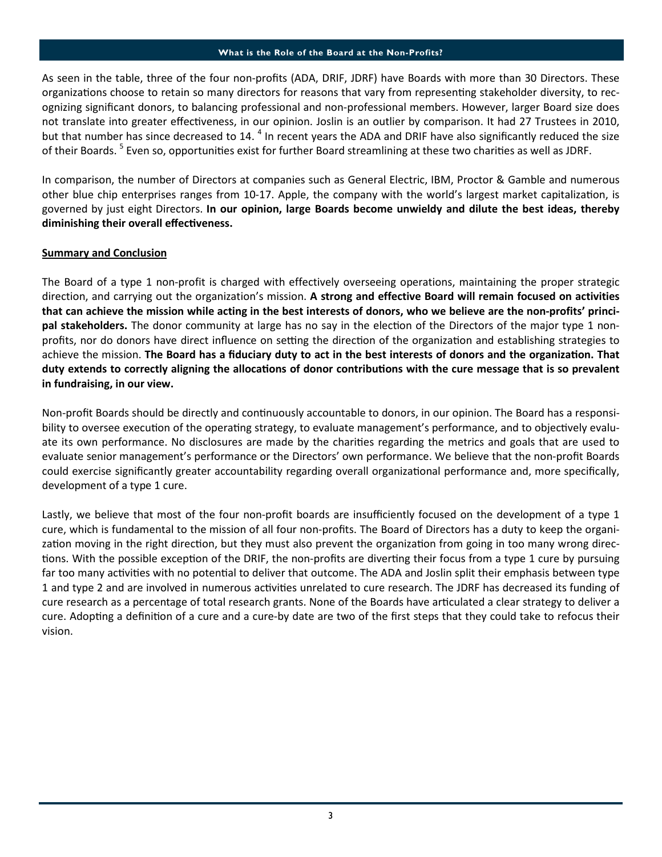#### What is the Role of the Board at the Non-Profits?

As seen in the table, three of the four non-profits (ADA, DRIF, JDRF) have Boards with more than 30 Directors. These organizations choose to retain so many directors for reasons that vary from representing stakeholder diversity, to recognizing significant donors, to balancing professional and non-professional members. However, larger Board size does not translate into greater effectiveness, in our opinion. Joslin is an outlier by comparison. It had 27 Trustees in 2010, but that number has since decreased to 14. <sup>4</sup> In recent years the ADA and DRIF have also significantly reduced the size of their Boards. <sup>5</sup> Even so, opportunities exist for further Board streamlining at these two charities as well as JDRF.

In comparison, the number of Directors at companies such as General Electric, IBM, Proctor & Gamble and numerous other blue chip enterprises ranges from 10-17. Apple, the company with the world's largest market capitalization, is governed by just eight Directors. In our opinion, large Boards become unwieldy and dilute the best ideas, thereby diminishing their overall effectiveness.

### Summary and Conclusion

The Board of a type 1 non-profit is charged with effectively overseeing operations, maintaining the proper strategic direction, and carrying out the organization's mission. A strong and effective Board will remain focused on activities that can achieve the mission while acting in the best interests of donors, who we believe are the non-profits' principal stakeholders. The donor community at large has no say in the election of the Directors of the major type 1 nonprofits, nor do donors have direct influence on setting the direction of the organization and establishing strategies to achieve the mission. The Board has a fiduciary duty to act in the best interests of donors and the organization. That duty extends to correctly aligning the allocations of donor contributions with the cure message that is so prevalent in fundraising, in our view.

Non-profit Boards should be directly and continuously accountable to donors, in our opinion. The Board has a responsibility to oversee execution of the operating strategy, to evaluate management's performance, and to objectively evaluate its own performance. No disclosures are made by the charities regarding the metrics and goals that are used to evaluate senior management's performance or the Directors' own performance. We believe that the non-profit Boards could exercise significantly greater accountability regarding overall organizational performance and, more specifically, development of a type 1 cure.

Lastly, we believe that most of the four non-profit boards are insufficiently focused on the development of a type 1 cure, which is fundamental to the mission of all four non-profits. The Board of Directors has a duty to keep the organization moving in the right direction, but they must also prevent the organization from going in too many wrong directions. With the possible exception of the DRIF, the non-profits are diverting their focus from a type 1 cure by pursuing far too many activities with no potential to deliver that outcome. The ADA and Joslin split their emphasis between type 1 and type 2 and are involved in numerous activities unrelated to cure research. The JDRF has decreased its funding of cure research as a percentage of total research grants. None of the Boards have articulated a clear strategy to deliver a cure. Adopting a definition of a cure and a cure-by date are two of the first steps that they could take to refocus their vision.